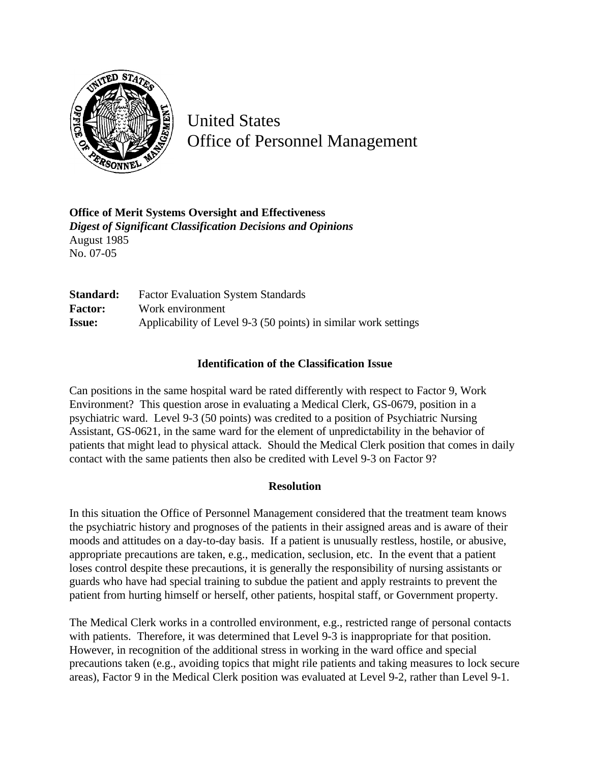

United States Office of Personnel Management

**Office of Merit Systems Oversight and Effectiveness** *Digest of Significant Classification Decisions and Opinions* August 1985 No. 07-05

**Standard:** Factor Evaluation System Standards **Factor:** Work environment **Issue:** Applicability of Level 9-3 (50 points) in similar work settings

## **Identification of the Classification Issue**

Can positions in the same hospital ward be rated differently with respect to Factor 9, Work Environment? This question arose in evaluating a Medical Clerk, GS-0679, position in a psychiatric ward. Level 9-3 (50 points) was credited to a position of Psychiatric Nursing Assistant, GS-0621, in the same ward for the element of unpredictability in the behavior of patients that might lead to physical attack. Should the Medical Clerk position that comes in daily contact with the same patients then also be credited with Level 9-3 on Factor 9?

## **Resolution**

In this situation the Office of Personnel Management considered that the treatment team knows the psychiatric history and prognoses of the patients in their assigned areas and is aware of their moods and attitudes on a day-to-day basis. If a patient is unusually restless, hostile, or abusive, appropriate precautions are taken, e.g., medication, seclusion, etc. In the event that a patient loses control despite these precautions, it is generally the responsibility of nursing assistants or guards who have had special training to subdue the patient and apply restraints to prevent the patient from hurting himself or herself, other patients, hospital staff, or Government property.

The Medical Clerk works in a controlled environment, e.g., restricted range of personal contacts with patients. Therefore, it was determined that Level 9-3 is inappropriate for that position. However, in recognition of the additional stress in working in the ward office and special precautions taken (e.g., avoiding topics that might rile patients and taking measures to lock secure areas), Factor 9 in the Medical Clerk position was evaluated at Level 9-2, rather than Level 9-1.